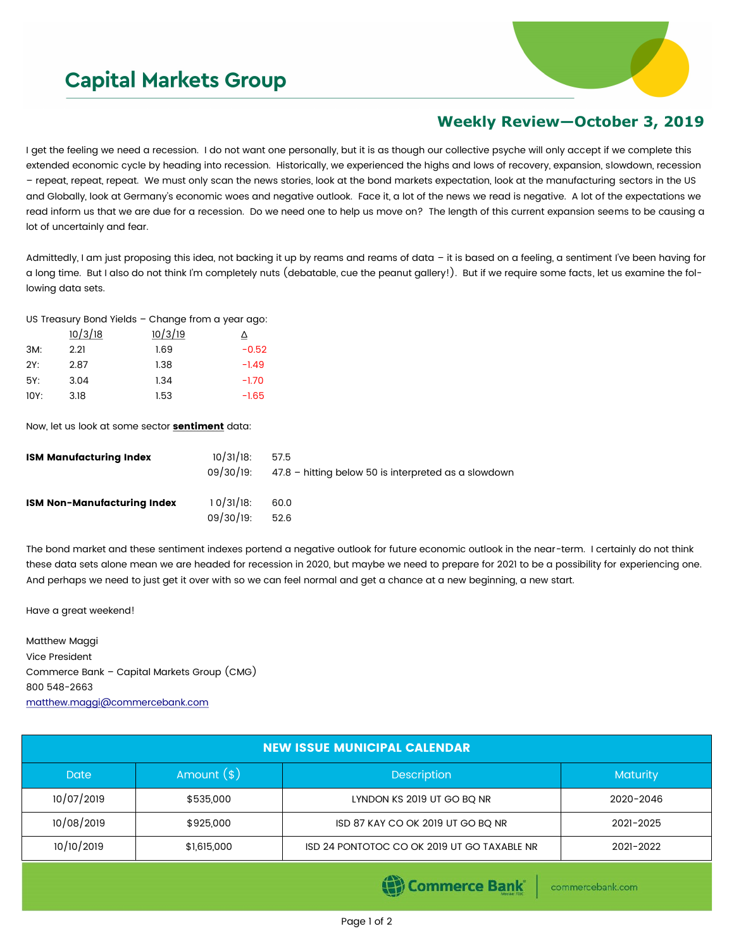## **Capital Markets Group**



## **Weekly Review—October 3, 2019**

I get the feeling we need a recession. I do not want one personally, but it is as though our collective psyche will only accept if we complete this extended economic cycle by heading into recession. Historically, we experienced the highs and lows of recovery, expansion, slowdown, recession – repeat, repeat, repeat. We must only scan the news stories, look at the bond markets expectation, look at the manufacturing sectors in the US and Globally, look at Germany's economic woes and negative outlook. Face it, a lot of the news we read is negative. A lot of the expectations we read inform us that we are due for a recession. Do we need one to help us move on? The length of this current expansion seems to be causing a lot of uncertainly and fear.

Admittedly, I am just proposing this idea, not backing it up by reams and reams of data - it is based on a feeling, a sentiment I've been having for a long time. But I also do not think I'm completely nuts (debatable, cue the peanut gallery!). But if we require some facts, let us examine the following data sets.

US Treasury Bond Yields – Change from a year ago:

|      | 10/3/18 | 10/3/19 | Δ       |
|------|---------|---------|---------|
| 3M:  | 2.21    | 1.69    | $-0.52$ |
| 2Y:  | 2.87    | 1.38    | $-1.49$ |
| 5Y:  | 3.04    | 1.34    | $-1.70$ |
| 10Y: | 3.18    | 1.53    | $-1.65$ |

Now, let us look at some sector **sentiment** data:

| ISM Manufacturing Index     | $10/31/18$ :          | 57.5<br>09/30/19: 47.8 - hitting below 50 is interpreted as a slowdown |
|-----------------------------|-----------------------|------------------------------------------------------------------------|
| ISM Non-Manufacturing Index | 10/31/18<br>09/30/19: | 60.0<br>52.6                                                           |

The bond market and these sentiment indexes portend a negative outlook for future economic outlook in the near-term. I certainly do not think these data sets alone mean we are headed for recession in 2020, but maybe we need to prepare for 2021 to be a possibility for experiencing one. And perhaps we need to just get it over with so we can feel normal and get a chance at a new beginning, a new start.

Have a great weekend!

Matthew Maggi Vice President Commerce Bank – Capital Markets Group (CMG) 800 548-2663 [matthew.maggi@commercebank.com](mailto:matthew.maggi@commercebank.com)

| <b>NEW ISSUE MUNICIPAL CALENDAR</b> |                                    |                                             |                 |  |
|-------------------------------------|------------------------------------|---------------------------------------------|-----------------|--|
| <b>Date</b>                         | Amount $(*)$<br><b>Description</b> |                                             | <b>Maturity</b> |  |
| 10/07/2019                          | \$535,000                          | LYNDON KS 2019 UT GO BQ NR                  | 2020-2046       |  |
| 10/08/2019                          | \$925,000                          | ISD 87 KAY CO OK 2019 UT GO BO NR           | 2021-2025       |  |
| 10/10/2019                          | \$1,615,000                        | ISD 24 PONTOTOC CO OK 2019 UT GO TAXABLE NR | 2021-2022       |  |

**Commerce Bank** 

commercebank.com